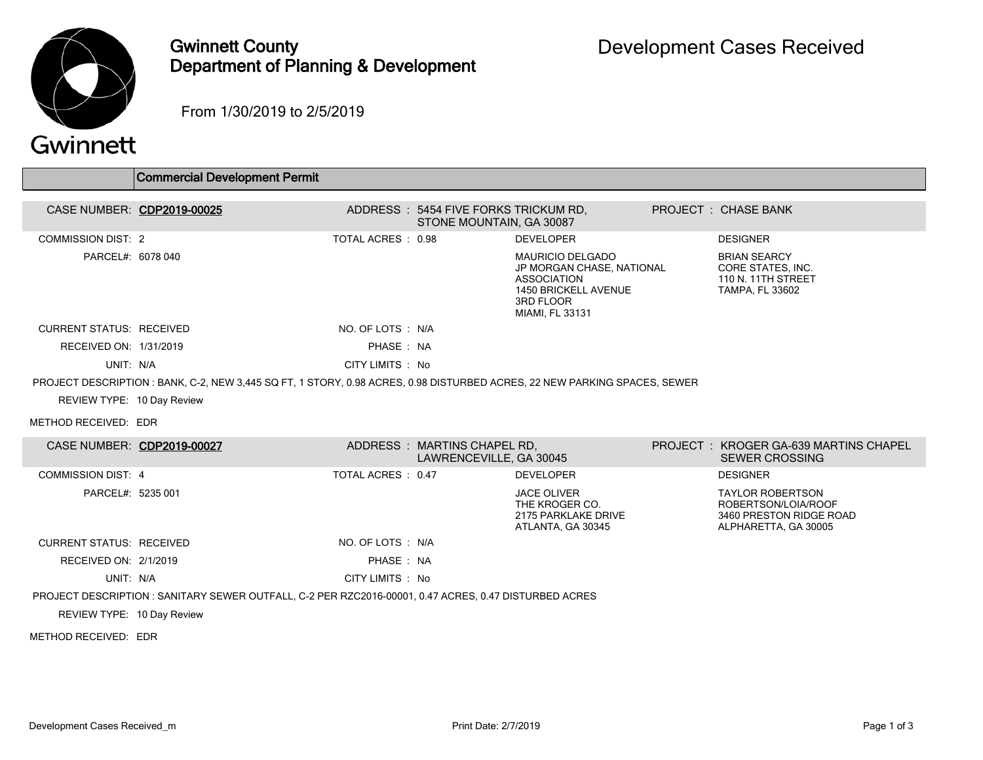

## Gwinnett County Department of Planning & Development

From 1/30/2019 to 2/5/2019

## Gwinnett

|                                 | <b>Commercial Development Permit</b>                                                                                     |                                       |                                      |                                                                                                                                    |                                                                                          |
|---------------------------------|--------------------------------------------------------------------------------------------------------------------------|---------------------------------------|--------------------------------------|------------------------------------------------------------------------------------------------------------------------------------|------------------------------------------------------------------------------------------|
|                                 | CASE NUMBER: CDP2019-00025                                                                                               | ADDRESS : 5454 FIVE FORKS TRICKUM RD. | STONE MOUNTAIN, GA 30087             |                                                                                                                                    | PROJECT: CHASE BANK                                                                      |
| <b>COMMISSION DIST: 2</b>       |                                                                                                                          | TOTAL ACRES : 0.98                    |                                      | <b>DEVELOPER</b>                                                                                                                   | <b>DESIGNER</b>                                                                          |
| PARCEL#: 6078 040               |                                                                                                                          |                                       |                                      | <b>MAURICIO DELGADO</b><br>JP MORGAN CHASE, NATIONAL<br><b>ASSOCIATION</b><br>1450 BRICKELL AVENUE<br>3RD FLOOR<br>MIAMI, FL 33131 | <b>BRIAN SEARCY</b><br>CORE STATES, INC.<br>110 N. 11TH STREET<br><b>TAMPA, FL 33602</b> |
| <b>CURRENT STATUS: RECEIVED</b> |                                                                                                                          | NO. OF LOTS : N/A                     |                                      |                                                                                                                                    |                                                                                          |
| RECEIVED ON: 1/31/2019          |                                                                                                                          | PHASE: NA                             |                                      |                                                                                                                                    |                                                                                          |
| UNIT: N/A                       |                                                                                                                          | CITY LIMITS : No                      |                                      |                                                                                                                                    |                                                                                          |
|                                 | PROJECT DESCRIPTION: BANK, C-2, NEW 3,445 SQ FT, 1 STORY, 0.98 ACRES, 0.98 DISTURBED ACRES, 22 NEW PARKING SPACES, SEWER |                                       |                                      |                                                                                                                                    |                                                                                          |
| REVIEW TYPE: 10 Day Review      |                                                                                                                          |                                       |                                      |                                                                                                                                    |                                                                                          |
| METHOD RECEIVED: EDR            |                                                                                                                          |                                       |                                      |                                                                                                                                    |                                                                                          |
| CASE NUMBER: CDP2019-00027      |                                                                                                                          | ADDRESS : MARTINS CHAPEL RD.          | $\overline{1}$ AMPENDENTILE OA 3004F |                                                                                                                                    | PROJECT: KROGER GA-639 MARTINS CHAPEL<br>CEWED ODOOCHIO                                  |

|                                 | CASE NUMBER. CDFZU 19-000ZZ                                                                           |                    | ADDNESS . MANTINS CHAFEL ND,<br>LAWRENCEVILLE, GA 30045 |                                                                                  | FRUJECI I. KRUGER GA-033 MARTING CHAFEL<br><b>SEWER CROSSING</b>                                  |
|---------------------------------|-------------------------------------------------------------------------------------------------------|--------------------|---------------------------------------------------------|----------------------------------------------------------------------------------|---------------------------------------------------------------------------------------------------|
| COMMISSION DIST: 4              |                                                                                                       | TOTAL ACRES : 0.47 |                                                         | <b>DEVELOPER</b>                                                                 | <b>DESIGNER</b>                                                                                   |
| PARCEL#: 5235 001               |                                                                                                       |                    |                                                         | <b>JACE OLIVER</b><br>THE KROGER CO.<br>2175 PARKLAKE DRIVE<br>ATLANTA, GA 30345 | <b>TAYLOR ROBERTSON</b><br>ROBERTSON/LOIA/ROOF<br>3460 PRESTON RIDGE ROAD<br>ALPHARETTA, GA 30005 |
| <b>CURRENT STATUS: RECEIVED</b> |                                                                                                       | NO. OF LOTS : N/A  |                                                         |                                                                                  |                                                                                                   |
| RECEIVED ON: 2/1/2019           |                                                                                                       | PHASE: NA          |                                                         |                                                                                  |                                                                                                   |
| UNIT: N/A                       |                                                                                                       | CITY LIMITS : No   |                                                         |                                                                                  |                                                                                                   |
|                                 | PROJECT DESCRIPTION : SANITARY SEWER OUTFALL, C-2 PER RZC2016-00001, 0.47 ACRES, 0.47 DISTURBED ACRES |                    |                                                         |                                                                                  |                                                                                                   |
| REVIEW TYPE: 10 Day Review      |                                                                                                       |                    |                                                         |                                                                                  |                                                                                                   |
| METHOD RECEIVED: EDR            |                                                                                                       |                    |                                                         |                                                                                  |                                                                                                   |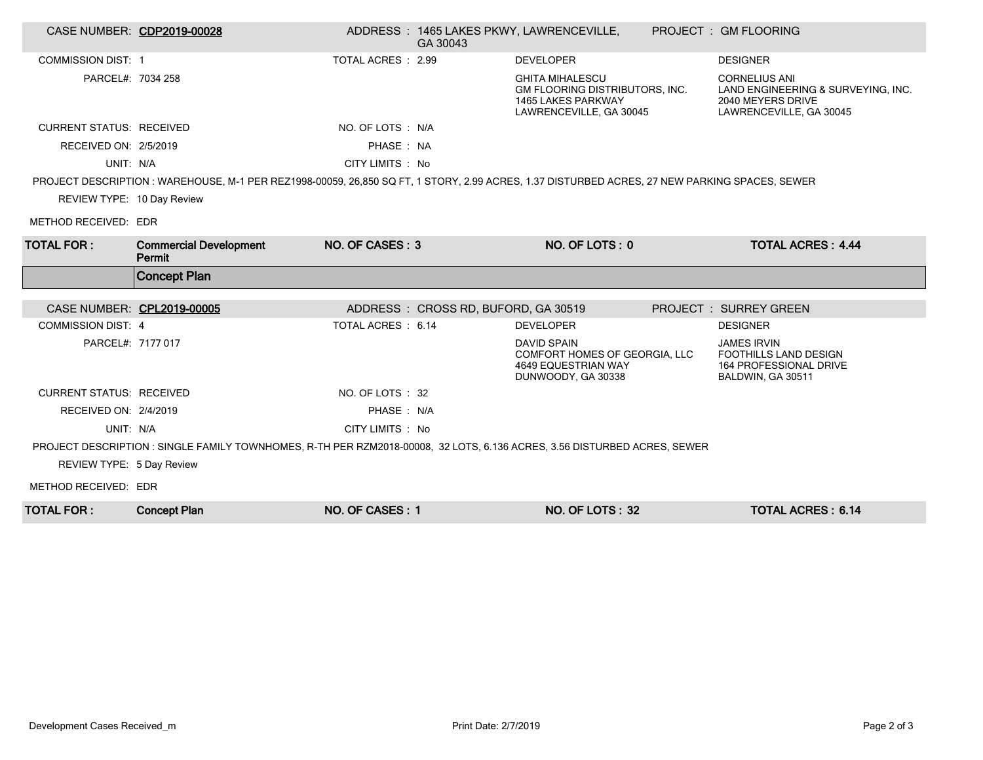|                                 | CASE NUMBER: CDP2019-00028                                                                                                                   |                    | GA 30043                            | ADDRESS: 1465 LAKES PKWY, LAWRENCEVILLE,                                                                  | PROJECT: GM FLOORING                                                                                       |
|---------------------------------|----------------------------------------------------------------------------------------------------------------------------------------------|--------------------|-------------------------------------|-----------------------------------------------------------------------------------------------------------|------------------------------------------------------------------------------------------------------------|
| <b>COMMISSION DIST: 1</b>       |                                                                                                                                              | TOTAL ACRES : 2.99 |                                     | <b>DEVELOPER</b>                                                                                          | <b>DESIGNER</b>                                                                                            |
| PARCEL#: 7034 258               |                                                                                                                                              |                    |                                     | <b>GHITA MIHALESCU</b><br>GM FLOORING DISTRIBUTORS, INC.<br>1465 LAKES PARKWAY<br>LAWRENCEVILLE, GA 30045 | <b>CORNELIUS ANI</b><br>LAND ENGINEERING & SURVEYING, INC.<br>2040 MEYERS DRIVE<br>LAWRENCEVILLE, GA 30045 |
| <b>CURRENT STATUS: RECEIVED</b> |                                                                                                                                              | NO. OF LOTS : N/A  |                                     |                                                                                                           |                                                                                                            |
| RECEIVED ON: 2/5/2019           |                                                                                                                                              | PHASE: NA          |                                     |                                                                                                           |                                                                                                            |
| UNIT: N/A                       |                                                                                                                                              | CITY LIMITS : No   |                                     |                                                                                                           |                                                                                                            |
|                                 | PROJECT DESCRIPTION: WAREHOUSE, M-1 PER REZ1998-00059, 26,850 SQ FT, 1 STORY, 2.99 ACRES, 1.37 DISTURBED ACRES, 27 NEW PARKING SPACES, SEWER |                    |                                     |                                                                                                           |                                                                                                            |
| REVIEW TYPE: 10 Day Review      |                                                                                                                                              |                    |                                     |                                                                                                           |                                                                                                            |
| METHOD RECEIVED: EDR            |                                                                                                                                              |                    |                                     |                                                                                                           |                                                                                                            |
| <b>TOTAL FOR:</b>               | <b>Commercial Development</b><br>Permit                                                                                                      | NO. OF CASES: 3    |                                     | NO. OF LOTS: 0                                                                                            | <b>TOTAL ACRES: 4.44</b>                                                                                   |
|                                 |                                                                                                                                              |                    |                                     |                                                                                                           |                                                                                                            |
|                                 | <b>Concept Plan</b>                                                                                                                          |                    |                                     |                                                                                                           |                                                                                                            |
| CASE NUMBER: CPL2019-00005      |                                                                                                                                              |                    | ADDRESS: CROSS RD, BUFORD, GA 30519 |                                                                                                           | PROJECT: SURREY GREEN                                                                                      |
| <b>COMMISSION DIST: 4</b>       |                                                                                                                                              | TOTAL ACRES : 6.14 |                                     | <b>DEVELOPER</b>                                                                                          | <b>DESIGNER</b>                                                                                            |
| PARCEL#: 7177 017               |                                                                                                                                              |                    |                                     | <b>DAVID SPAIN</b><br>COMFORT HOMES OF GEORGIA, LLC<br>4649 EQUESTRIAN WAY<br>DUNWOODY, GA 30338          | <b>JAMES IRVIN</b><br><b>FOOTHILLS LAND DESIGN</b><br>164 PROFESSIONAL DRIVE<br>BALDWIN, GA 30511          |
| <b>CURRENT STATUS: RECEIVED</b> |                                                                                                                                              | NO. OF LOTS: 32    |                                     |                                                                                                           |                                                                                                            |
| RECEIVED ON: 2/4/2019           |                                                                                                                                              | PHASE: N/A         |                                     |                                                                                                           |                                                                                                            |
| UNIT: N/A                       |                                                                                                                                              | CITY LIMITS : No   |                                     |                                                                                                           |                                                                                                            |
|                                 | PROJECT DESCRIPTION : SINGLE FAMILY TOWNHOMES, R-TH PER RZM2018-00008, 32 LOTS, 6.136 ACRES, 3.56 DISTURBED ACRES, SEWER                     |                    |                                     |                                                                                                           |                                                                                                            |
| REVIEW TYPE: 5 Day Review       |                                                                                                                                              |                    |                                     |                                                                                                           |                                                                                                            |
| METHOD RECEIVED: EDR            |                                                                                                                                              |                    |                                     |                                                                                                           |                                                                                                            |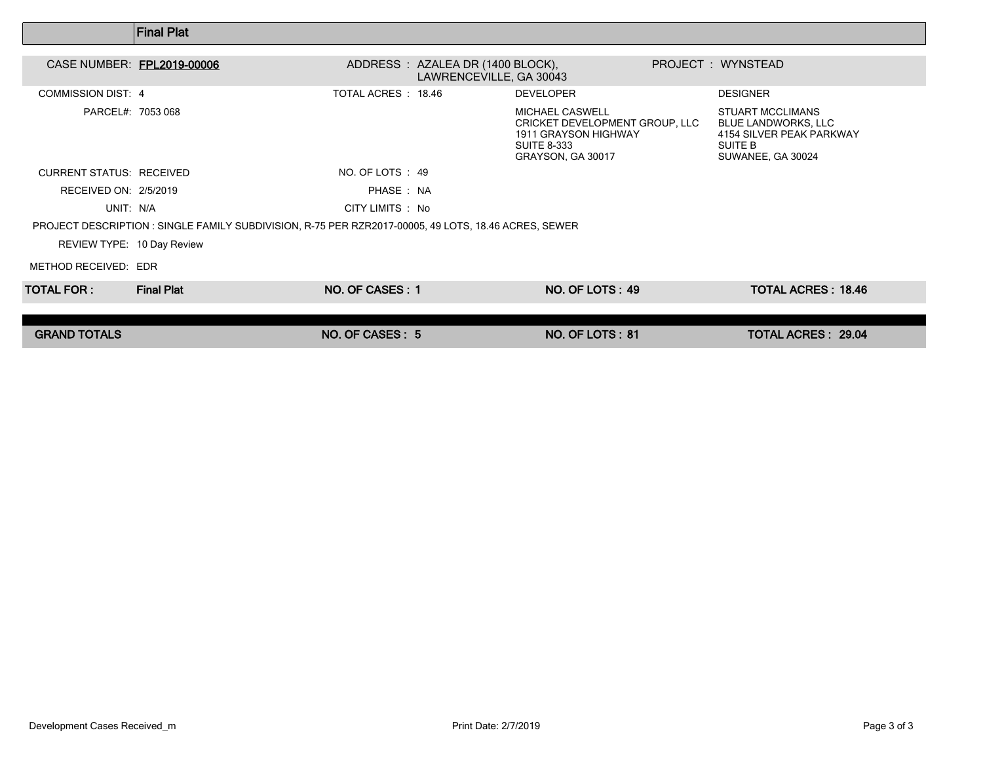|                                 | <b>Final Plat</b> |                                                                                                      |                                                                                                                             |                                                                                                                   |
|---------------------------------|-------------------|------------------------------------------------------------------------------------------------------|-----------------------------------------------------------------------------------------------------------------------------|-------------------------------------------------------------------------------------------------------------------|
| CASE NUMBER: FPL2019-00006      |                   | ADDRESS: AZALEA DR (1400 BLOCK),<br>LAWRENCEVILLE, GA 30043                                          |                                                                                                                             | PROJECT : WYNSTEAD                                                                                                |
| <b>COMMISSION DIST: 4</b>       |                   | TOTAL ACRES: 18.46                                                                                   | <b>DEVELOPER</b>                                                                                                            | <b>DESIGNER</b>                                                                                                   |
| PARCEL#: 7053 068               |                   |                                                                                                      | <b>MICHAEL CASWELL</b><br>CRICKET DEVELOPMENT GROUP, LLC<br>1911 GRAYSON HIGHWAY<br><b>SUITE 8-333</b><br>GRAYSON, GA 30017 | <b>STUART MCCLIMANS</b><br><b>BLUE LANDWORKS, LLC</b><br>4154 SILVER PEAK PARKWAY<br>SUITE B<br>SUWANEE, GA 30024 |
| <b>CURRENT STATUS: RECEIVED</b> |                   | NO. OF LOTS : 49                                                                                     |                                                                                                                             |                                                                                                                   |
| RECEIVED ON: 2/5/2019           |                   | PHASE: NA                                                                                            |                                                                                                                             |                                                                                                                   |
| UNIT: N/A                       |                   | CITY LIMITS : No                                                                                     |                                                                                                                             |                                                                                                                   |
|                                 |                   | PROJECT DESCRIPTION : SINGLE FAMILY SUBDIVISION, R-75 PER RZR2017-00005, 49 LOTS, 18.46 ACRES, SEWER |                                                                                                                             |                                                                                                                   |
| REVIEW TYPE: 10 Day Review      |                   |                                                                                                      |                                                                                                                             |                                                                                                                   |
| METHOD RECEIVED: EDR            |                   |                                                                                                      |                                                                                                                             |                                                                                                                   |
| TOTAL FOR : I                   | <b>Final Plat</b> | NO. OF CASES: 1                                                                                      | NO. OF LOTS: 49                                                                                                             | <b>TOTAL ACRES: 18.46</b>                                                                                         |
|                                 |                   |                                                                                                      |                                                                                                                             |                                                                                                                   |
| <b>GRAND TOTALS</b>             |                   | NO. OF CASES: 5                                                                                      | NO. OF LOTS: 81                                                                                                             | <b>TOTAL ACRES: 29.04</b>                                                                                         |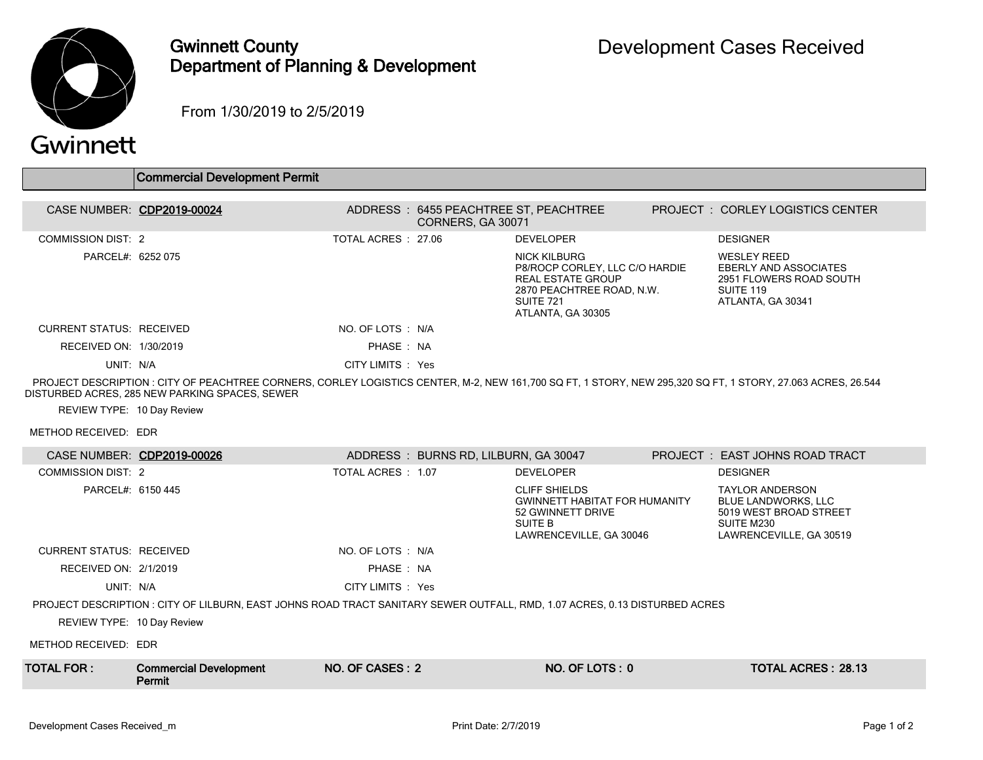

## Gwinnett County Department of Planning & Development

From 1/30/2019 to 2/5/2019

## Gwinnett

|                            | <b>Commercial Development Permit</b>                                                                                                                                                                         |                     |                                       |                                                                                                                                                  |                                                                                                                 |
|----------------------------|--------------------------------------------------------------------------------------------------------------------------------------------------------------------------------------------------------------|---------------------|---------------------------------------|--------------------------------------------------------------------------------------------------------------------------------------------------|-----------------------------------------------------------------------------------------------------------------|
| CASE NUMBER: CDP2019-00024 |                                                                                                                                                                                                              |                     | ADDRESS: 6455 PEACHTREE ST, PEACHTREE |                                                                                                                                                  | PROJECT: CORLEY LOGISTICS CENTER                                                                                |
| COMMISSION DIST: 2         |                                                                                                                                                                                                              | TOTAL ACRES : 27.06 | CORNERS, GA 30071                     | <b>DEVELOPER</b>                                                                                                                                 | <b>DESIGNER</b>                                                                                                 |
| PARCEL#: 6252 075          |                                                                                                                                                                                                              |                     |                                       | NICK KILBURG<br>P8/ROCP CORLEY, LLC C/O HARDIE<br><b>REAL ESTATE GROUP</b><br>2870 PEACHTREE ROAD, N.W.<br><b>SUITE 721</b><br>ATLANTA, GA 30305 | <b>WESLEY REED</b><br><b>EBERLY AND ASSOCIATES</b><br>2951 FLOWERS ROAD SOUTH<br>SUITE 119<br>ATLANTA, GA 30341 |
| CURRENT STATUS RECEIVED    |                                                                                                                                                                                                              | NO. OF LOTS : N/A   |                                       |                                                                                                                                                  |                                                                                                                 |
| RECEIVED ON: 1/30/2019     |                                                                                                                                                                                                              | PHASE: NA           |                                       |                                                                                                                                                  |                                                                                                                 |
| UNIT: N/A                  |                                                                                                                                                                                                              | CITY LIMITS : Yes   |                                       |                                                                                                                                                  |                                                                                                                 |
| REVIEW TYPE: 10 Day Review | PROJECT DESCRIPTION: CITY OF PEACHTREE CORNERS, CORLEY LOGISTICS CENTER, M-2, NEW 161,700 SQ FT, 1 STORY, NEW 295,320 SQ FT, 1 STORY, 27.063 ACRES, 26.544<br>DISTURBED ACRES, 285 NEW PARKING SPACES, SEWER |                     |                                       |                                                                                                                                                  |                                                                                                                 |
| METHOD RECEIVED: EDR       |                                                                                                                                                                                                              |                     |                                       |                                                                                                                                                  |                                                                                                                 |

|                                 | CASE NUMBER: CDP2019-00026                                                                                                 |                    | ADDRESS: BURNS RD, LILBURN, GA 30047 |                                                                                                                         | PROJECT : EAST JOHNS ROAD TRACT                                                                                         |  |
|---------------------------------|----------------------------------------------------------------------------------------------------------------------------|--------------------|--------------------------------------|-------------------------------------------------------------------------------------------------------------------------|-------------------------------------------------------------------------------------------------------------------------|--|
| COMMISSION DIST: 2              |                                                                                                                            | TOTAL ACRES : 1.07 |                                      | <b>DEVELOPER</b>                                                                                                        | <b>DESIGNER</b>                                                                                                         |  |
| PARCEL#: 6150 445               |                                                                                                                            |                    |                                      | <b>CLIFF SHIELDS</b><br><b>GWINNETT HABITAT FOR HUMANITY</b><br>52 GWINNETT DRIVE<br>SUITE B<br>LAWRENCEVILLE, GA 30046 | <b>TAYLOR ANDERSON</b><br><b>BLUE LANDWORKS, LLC</b><br>5019 WEST BROAD STREET<br>SUITE M230<br>LAWRENCEVILLE, GA 30519 |  |
| <b>CURRENT STATUS: RECEIVED</b> |                                                                                                                            | NO. OF LOTS : N/A  |                                      |                                                                                                                         |                                                                                                                         |  |
| RECEIVED ON: 2/1/2019           |                                                                                                                            | PHASE: NA          |                                      |                                                                                                                         |                                                                                                                         |  |
| UNIT: N/A                       |                                                                                                                            | CITY LIMITS : Yes  |                                      |                                                                                                                         |                                                                                                                         |  |
|                                 | PROJECT DESCRIPTION : CITY OF LILBURN, EAST JOHNS ROAD TRACT SANITARY SEWER OUTFALL, RMD, 1.07 ACRES, 0.13 DISTURBED ACRES |                    |                                      |                                                                                                                         |                                                                                                                         |  |
| REVIEW TYPE: 10 Day Review      |                                                                                                                            |                    |                                      |                                                                                                                         |                                                                                                                         |  |
| METHOD RECEIVED: EDR            |                                                                                                                            |                    |                                      |                                                                                                                         |                                                                                                                         |  |
| TOTAL FOR :                     | <b>Commercial Development</b><br>Permit                                                                                    | NO. OF CASES: 2    |                                      | NO. OF LOTS: 0                                                                                                          | TOTAL ACRES: 28.13                                                                                                      |  |
|                                 |                                                                                                                            |                    |                                      |                                                                                                                         |                                                                                                                         |  |